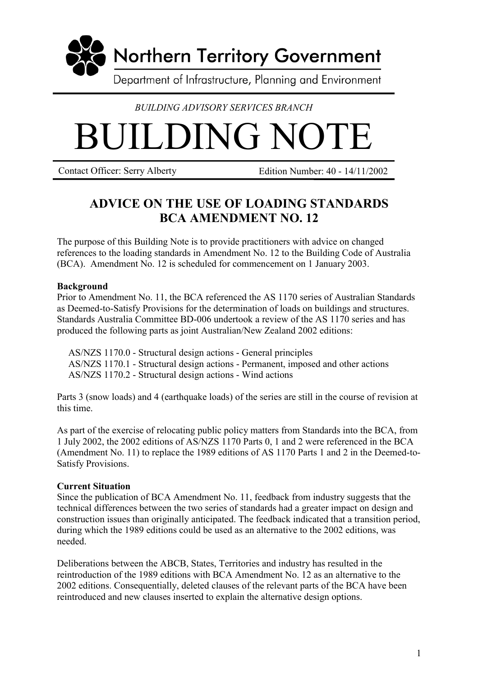

# *BUILDING ADVISORY SERVICES BRANCH*

# BUILDING NOTE

Contact Officer: Serry Alberty Edition Number: 40 - 14/11/2002

# **ADVICE ON THE USE OF LOADING STANDARDS BCA AMENDMENT NO. 12**

The purpose of this Building Note is to provide practitioners with advice on changed references to the loading standards in Amendment No. 12 to the Building Code of Australia (BCA). Amendment No. 12 is scheduled for commencement on 1 January 2003.

#### **Background**

Prior to Amendment No. 11, the BCA referenced the AS 1170 series of Australian Standards as Deemed-to-Satisfy Provisions for the determination of loads on buildings and structures. Standards Australia Committee BD-006 undertook a review of the AS 1170 series and has produced the following parts as joint Australian/New Zealand 2002 editions:

AS/NZS 1170.0 - Structural design actions - General principles AS/NZS 1170.1 - Structural design actions - Permanent, imposed and other actions AS/NZS 1170.2 - Structural design actions - Wind actions

Parts 3 (snow loads) and 4 (earthquake loads) of the series are still in the course of revision at this time.

As part of the exercise of relocating public policy matters from Standards into the BCA, from 1 July 2002, the 2002 editions of AS/NZS 1170 Parts 0, 1 and 2 were referenced in the BCA (Amendment No. 11) to replace the 1989 editions of AS 1170 Parts 1 and 2 in the Deemed-to-Satisfy Provisions.

#### **Current Situation**

Since the publication of BCA Amendment No. 11, feedback from industry suggests that the technical differences between the two series of standards had a greater impact on design and construction issues than originally anticipated. The feedback indicated that a transition period, during which the 1989 editions could be used as an alternative to the 2002 editions, was needed.

Deliberations between the ABCB, States, Territories and industry has resulted in the reintroduction of the 1989 editions with BCA Amendment No. 12 as an alternative to the 2002 editions. Consequentially, deleted clauses of the relevant parts of the BCA have been reintroduced and new clauses inserted to explain the alternative design options.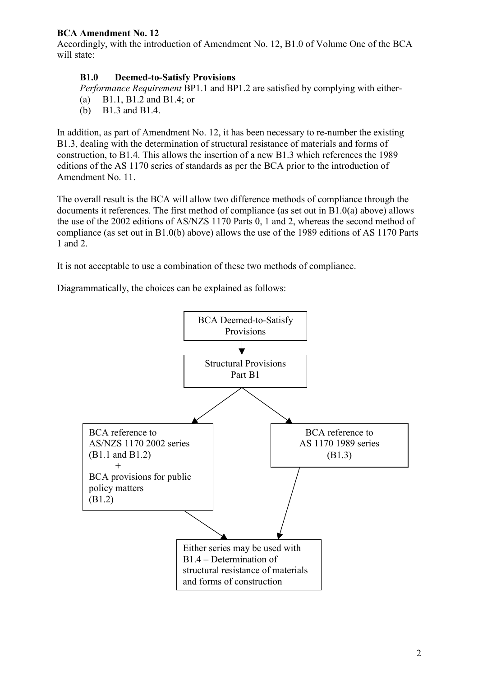# **BCA Amendment No. 12**

Accordingly, with the introduction of Amendment No. 12, B1.0 of Volume One of the BCA will state:

# **B1.0 Deemed-to-Satisfy Provisions**

*Performance Requirement* BP1.1 and BP1.2 are satisfied by complying with either-

- (a) B1.1, B1.2 and B1.4; or
- (b) B1.3 and B1.4.

In addition, as part of Amendment No. 12, it has been necessary to re-number the existing B1.3, dealing with the determination of structural resistance of materials and forms of construction, to B1.4. This allows the insertion of a new B1.3 which references the 1989 editions of the AS 1170 series of standards as per the BCA prior to the introduction of Amendment No. 11.

The overall result is the BCA will allow two difference methods of compliance through the documents it references. The first method of compliance (as set out in B1.0(a) above) allows the use of the 2002 editions of AS/NZS 1170 Parts 0, 1 and 2, whereas the second method of compliance (as set out in B1.0(b) above) allows the use of the 1989 editions of AS 1170 Parts 1 and 2.

It is not acceptable to use a combination of these two methods of compliance.

Diagrammatically, the choices can be explained as follows: